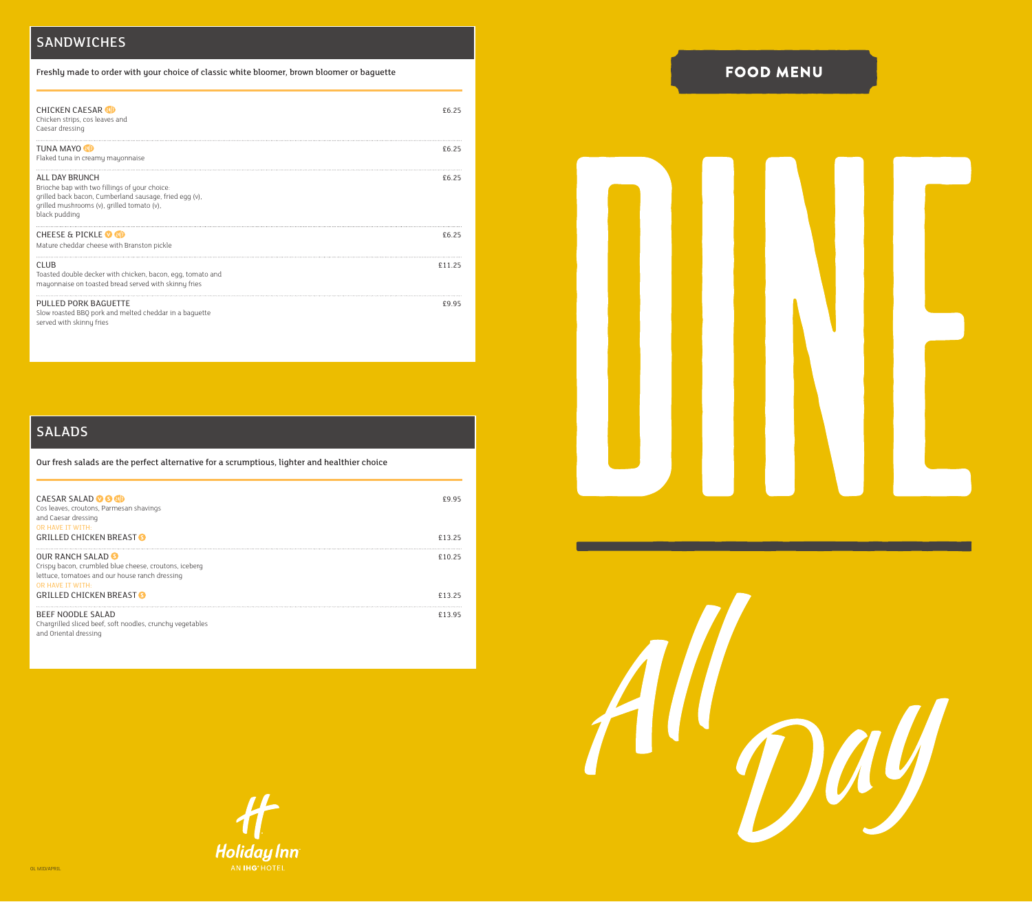# SANDWICHES

Freshly made to order with your choice of classic white bloomer, brown bloomer or baguette

| <b>CHICKEN CAESAR &amp;D</b><br>Chicken strips, cos leaves and<br>Caesar dressing                                                                                                        | £625   |
|------------------------------------------------------------------------------------------------------------------------------------------------------------------------------------------|--------|
| TUNA MAYO <b>4D</b><br>Flaked tuna in creamy mayonnaise                                                                                                                                  | £6.25  |
| ALL DAY BRUNCH<br>Brioche bap with two fillings of your choice:<br>grilled back bacon, Cumberland sausage, fried egg (v),<br>qrilled mushrooms (v), grilled tomato (v),<br>black pudding | £6.25  |
| <b>CHEESE &amp; PICKLE © 4D</b><br>Mature cheddar cheese with Branston pickle                                                                                                            | £6.25  |
| <b>CLUB</b><br>Toasted double decker with chicken, bacon, egg, tomato and<br>mayonnaise on toasted bread served with skinny fries                                                        | £11.25 |
| PULLED PORK BAGUETTE<br>Slow roasted BBQ pork and melted cheddar in a baquette<br>served with skinny fries                                                                               | £9.95  |

# SALADS

Our fresh salads are the perfect alternative for a scrumptious, lighter and healthier choice

| <b>CAESAR SALAD OG CD</b><br>Cos leaves, croutons, Parmesan shavings<br>and Caesar dressing<br>OR HAVE IT WITH:                                         | £995   |
|---------------------------------------------------------------------------------------------------------------------------------------------------------|--------|
| <b>GRILLED CHICKEN BREAST O</b>                                                                                                                         | £13.25 |
| <b>OUR RANCH SALAD 6</b><br>Crispy bacon, crumbled blue cheese, croutons, iceberg<br>lettuce, tomatoes and our house ranch dressing<br>OR HAVE IT WITH: | f1025  |
| <b>GRILLED CHICKEN BREAST O</b>                                                                                                                         | £1325  |
| <b>BEEF NOODLE SALAD</b><br>Chargrilled sliced beef, soft noodles, crunchy vegetables<br>and Oriental dressing                                          | £1395  |